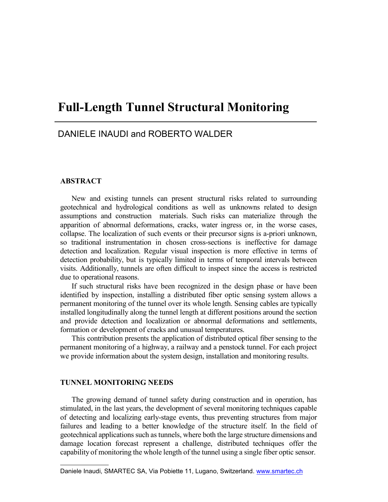# **Full-Length Tunnel Structural Monitoring**

# DANIELE INAUDI and ROBERTO WALDER

# **ABSTRACT**

New and existing tunnels can present structural risks related to surrounding geotechnical and hydrological conditions as well as unknowns related to design assumptions and construction materials. Such risks can materialize through the apparition of abnormal deformations, cracks, water ingress or, in the worse cases, collapse. The localization of such events or their precursor signs is a-priori unknown, so traditional instrumentation in chosen cross-sections is ineffective for damage detection and localization. Regular visual inspection is more effective in terms of detection probability, but is typically limited in terms of temporal intervals between visits. Additionally, tunnels are often difficult to inspect since the access is restricted due to operational reasons.

If such structural risks have been recognized in the design phase or have been identified by inspection, installing a distributed fiber optic sensing system allows a permanent monitoring of the tunnel over its whole length. Sensing cables are typically installed longitudinally along the tunnel length at different positions around the section and provide detection and localization or abnormal deformations and settlements, formation or development of cracks and unusual temperatures.

This contribution presents the application of distributed optical fiber sensing to the permanent monitoring of a highway, a railway and a penstock tunnel. For each project we provide information about the system design, installation and monitoring results.

#### **TUNNEL MONITORING NEEDS**

The growing demand of tunnel safety during construction and in operation, has stimulated, in the last years, the development of several monitoring techniques capable of detecting and localizing early-stage events, thus preventing structures from major failures and leading to a better knowledge of the structure itself. In the field of geotechnical applications such as tunnels, where both the large structure dimensions and damage location forecast represent a challenge, distributed [techniques](http://www.smartec.ch/) offer the capability of monitoring the whole length of the tunnel using a single fiber optic sensor.

Daniele Inaudi, SMARTEC SA, Via Pobiette 11, Lugano, Switzerland. www.smartec.ch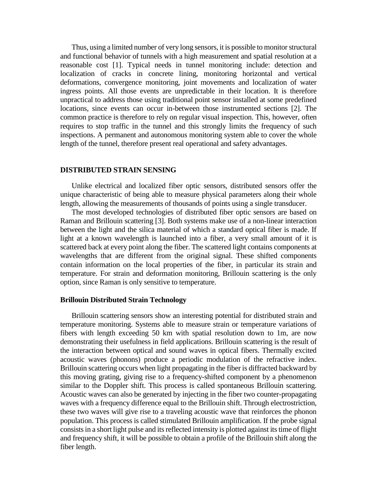Thus, using a limited number of very long sensors, it is possible to monitor structural and functional behavior of tunnels with a high measurement and spatial resolution at a reasonable cost [1]. Typical needs in tunnel monitoring include: detection and localization of cracks in concrete lining, monitoring horizontal and vertical deformations, convergence monitoring, joint movements and localization of water ingress points. All those events are unpredictable in their location. It is therefore unpractical to address those using traditional point sensor installed at some predefined locations, since events can occur in-between those instrumented sections [2]. The common practice is therefore to rely on regular visual inspection. This, however, often requires to stop traffic in the tunnel and this strongly limits the frequency of such inspections. A permanent and autonomous monitoring system able to cover the whole length of the tunnel, therefore present real operational and safety advantages.

#### **DISTRIBUTED STRAIN SENSING**

Unlike electrical and localized fiber optic sensors, distributed sensors offer the unique characteristic of being able to measure physical parameters along their whole length, allowing the measurements of thousands of points using a single transducer.

The most developed technologies of distributed fiber optic sensors are based on Raman and Brillouin scattering [3]. Both systems make use of a non-linear interaction between the light and the silica material of which a standard optical fiber is made. If light at a known wavelength is launched into a fiber, a very small amount of it is scattered back at every point along the fiber. The scattered light contains components at wavelengths that are different from the original signal. These shifted components contain information on the local properties of the fiber, in particular its strain and temperature. For strain and deformation monitoring, Brillouin scattering is the only option, since Raman is only sensitive to temperature.

# **Brillouin Distributed Strain Technology**

Brillouin scattering sensors show an interesting potential for distributed strain and temperature monitoring. Systems able to measure strain or temperature variations of fibers with length exceeding 50 km with spatial resolution down to 1m, are now demonstrating their usefulness in field applications. Brillouin scattering is the result of the interaction between optical and sound waves in optical fibers. Thermally excited acoustic waves (phonons) produce a periodic modulation of the refractive index. Brillouin scattering occurs when light propagating in the fiber is diffracted backward by this moving grating, giving rise to a frequency-shifted component by a phenomenon similar to the Doppler shift. This process is called spontaneous Brillouin scattering. Acoustic waves can also be generated by injecting in the fiber two counter-propagating waves with a frequency difference equal to the Brillouin shift. Through electrostriction, these two waves will give rise to a traveling acoustic wave that reinforces the phonon population. This process is called stimulated Brillouin amplification. If the probe signal consists in a short light pulse and its reflected intensity is plotted against its time of flight and frequency shift, it will be possible to obtain a profile of the Brillouin shift along the fiber length.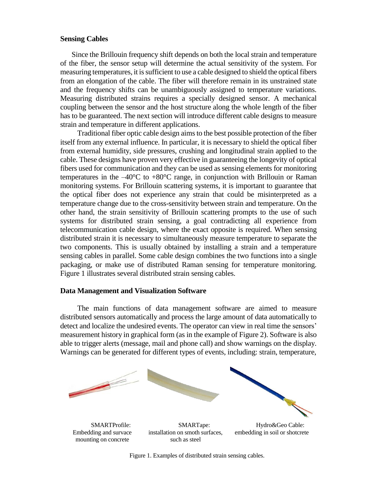# **Sensing Cables**

Since the Brillouin frequency shift depends on both the local strain and temperature of the fiber, the sensor setup will determine the actual sensitivity of the system. For measuring temperatures, it is sufficient to use a cable designed to shield the optical fibers from an elongation of the cable. The fiber will therefore remain in its unstrained state and the frequency shifts can be unambiguously assigned to temperature variations. Measuring distributed strains requires a specially designed sensor. A mechanical coupling between the sensor and the host structure along the whole length of the fiber has to be guaranteed. The next section will introduce different cable designs to measure strain and temperature in different applications.

Traditional fiber optic cable design aims to the best possible protection of the fiber itself from any external influence. In particular, it is necessary to shield the optical fiber from external humidity, side pressures, crushing and longitudinal strain applied to the cable. These designs have proven very effective in guaranteeing the longevity of optical fibers used for communication and they can be used as sensing elements for monitoring temperatures in the  $-40^{\circ}$ C to  $+80^{\circ}$ C range, in conjunction with Brillouin or Raman monitoring systems. For Brillouin scattering systems, it is important to guarantee that the optical fiber does not experience any strain that could be misinterpreted as a temperature change due to the cross-sensitivity between strain and temperature. On the other hand, the strain sensitivity of Brillouin scattering prompts to the use of such systems for distributed strain sensing, a goal contradicting all experience from telecommunication cable design, where the exact opposite is required. When sensing distributed strain it is necessary to simultaneously measure temperature to separate the two components. This is usually obtained by installing a strain and a temperature sensing cables in parallel. Some cable design combines the two functions into a single packaging, or make use of distributed Raman sensing for temperature monitoring. Figure 1 illustrates several distributed strain sensing cables.

#### **Data Management and Visualization Software**

The main functions of data management software are aimed to measure distributed sensors automatically and process the large amount of data automatically to detect and localize the undesired events. The operator can view in real time the sensors' measurement history in graphical form (as in the example of Figure 2). Software is also able to trigger alerts (message, mail and phone call) and show warnings on the display. Warnings can be generated for different types of events, including: strain, temperature,



Figure 1. Examples of distributed strain sensing cables.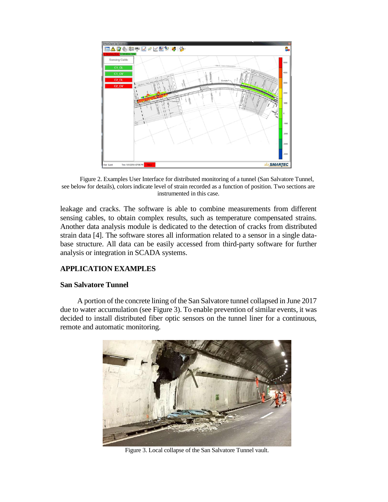

Figure 2. Examples User Interface for distributed monitoring of a tunnel (San Salvatore Tunnel, see below for details), colors indicate level of strain recorded as a function of position. Two sections are instrumented in this case.

leakage and cracks. The software is able to combine measurements from different sensing cables, to obtain complex results, such as temperature compensated strains. Another data analysis module is dedicated to the detection of cracks from distributed strain data [4]. The software stores all information related to a sensor in a single database structure. All data can be easily accessed from third-party software for further analysis or integration in SCADA systems.

# **APPLICATION EXAMPLES**

# **San Salvatore Tunnel**

A portion of the concrete lining of the San Salvatore tunnel collapsed in June 2017 due to water accumulation (see Figure 3). To enable prevention of similar events, it was decided to install distributed fiber optic sensors on the tunnel liner for a continuous, remote and automatic monitoring.



Figure 3. Local collapse of the San Salvatore Tunnel vault.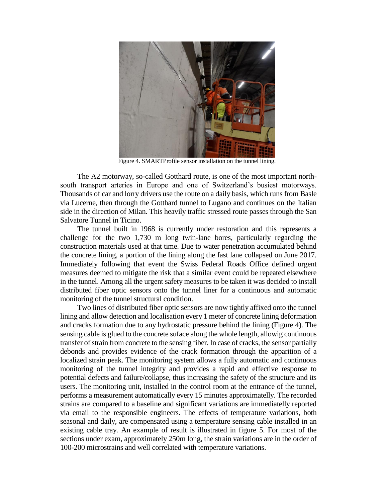

Figure 4. SMARTProfile sensor installation on the tunnel lining.

The A2 motorway, so-called Gotthard route, is one of the most important northsouth transport arteries in Europe and one of Switzerland's busiest motorways. Thousands of car and lorry drivers use the route on a daily basis, which runs from Basle via Lucerne, then through the Gotthard tunnel to Lugano and continues on the Italian side in the direction of Milan. This heavily traffic stressed route passes through the San Salvatore Tunnel in Ticino.

The tunnel built in 1968 is currently under restoration and this represents a challenge for the two 1,730 m long twin-lane bores, particularly regarding the construction materials used at that time. Due to water penetration accumulated behind the concrete lining, a portion of the lining along the fast lane collapsed on June 2017. Immediately following that event the Swiss Federal Roads Office defined urgent measures deemed to mitigate the risk that a similar event could be repeated elsewhere in the tunnel. Among all the urgent safety measures to be taken it was decided to install distributed fiber optic sensors onto the tunnel liner for a continuous and automatic monitoring of the tunnel structural condition.

Two lines of distributed fiber optic sensors are now tightly affixed onto the tunnel lining and allow detection and localisation every 1 meter of concrete lining deformation and cracks formation due to any hydrostatic pressure behind the lining (Figure 4). The sensing cable is glued to the concrete suface along the whole length, allowig continuous transfer of strain from concrete to the sensing fiber. In case of cracks, the sensor partially debonds and provides evidence of the crack formation through the apparition of a localized strain peak. The monitoring system allows a fully automatic and continuous monitoring of the tunnel integrity and provides a rapid and effective response to potential defects and failure/collapse, thus increasing the safety of the structure and its users. The monitoring unit, installed in the control room at the entrance of the tunnel, performs a measurement automatically every 15 minutes approximatelly. The recorded strains are compared to a baseline and significant variations are immediatelly reported via email to the responsible engineers. The effects of temperature variations, both seasonal and daily, are compensated using a temperature sensing cable installed in an existing cable tray. An example of result is illustrated in figure 5. For most of the sections under exam, approximately 250m long, the strain variations are in the order of 100-200 microstrains and well correlated with temperature variations.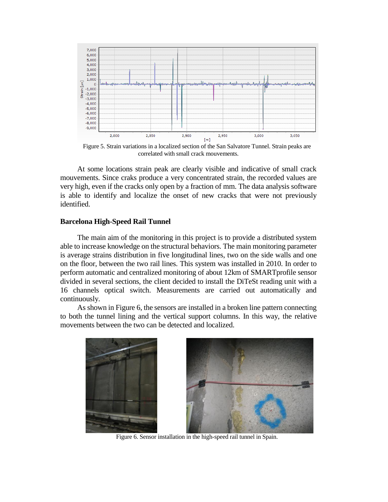

Figure 5. Strain variations in a localized section of the San Salvatore Tunnel. Strain peaks are correlated with small crack mouvements.

At some locations strain peak are clearly visible and indicative of small crack mouvements. Since craks produce a very concentrated strain, the recorded values are very high, even if the cracks only open by a fraction of mm. The data analysis software is able to identify and localize the onset of new cracks that were not previously identified.

## **Barcelona High-Speed Rail Tunnel**

The main aim of the monitoring in this project is to provide a distributed system able to increase knowledge on the structural behaviors. The main monitoring parameter is average strains distribution in five longitudinal lines, two on the side walls and one on the floor, between the two rail lines. This system was installed in 2010. In order to perform automatic and centralized monitoring of about 12km of SMARTprofile sensor divided in several sections, the client decided to install the DiTeSt reading unit with a 16 channels optical switch. Measurements are carried out automatically and continuously.

As shown in Figure 6, the sensors are installed in a broken line pattern connecting to both the tunnel lining and the vertical support columns. In this way, the relative movements between the two can be detected and localized.



Figure 6. Sensor installation in the high-speed rail tunnel in Spain.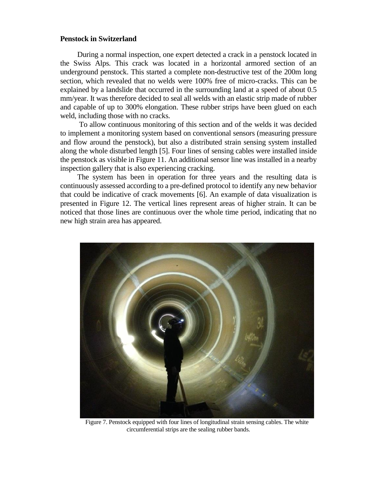## **Penstock in Switzerland**

During a normal inspection, one expert detected a crack in a penstock located in the Swiss Alps. This crack was located in a horizontal armored section of an underground penstock. This started a complete non-destructive test of the 200m long section, which revealed that no welds were 100% free of micro-cracks. This can be explained by a landslide that occurred in the surrounding land at a speed of about 0.5 mm/year. It was therefore decided to seal all welds with an elastic strip made of rubber and capable of up to 300% elongation. These rubber strips have been glued on each weld, including those with no cracks.

To allow continuous monitoring of this section and of the welds it was decided to implement a monitoring system based on conventional sensors (measuring pressure and flow around the penstock), but also a distributed strain sensing system installed along the whole disturbed length [5]. Four lines of sensing cables were installed inside the penstock as visible in Figure 11. An additional sensor line was installed in a nearby inspection gallery that is also experiencing cracking.

The system has been in operation for three years and the resulting data is continuously assessed according to a pre-defined protocol to identify any new behavior that could be indicative of crack movements [6]. An example of data visualization is presented in Figure 12. The vertical lines represent areas of higher strain. It can be noticed that those lines are continuous over the whole time period, indicating that no new high strain area has appeared.



Figure 7. Penstock equipped with four lines of longitudinal strain sensing cables. The white circumferential strips are the sealing rubber bands.